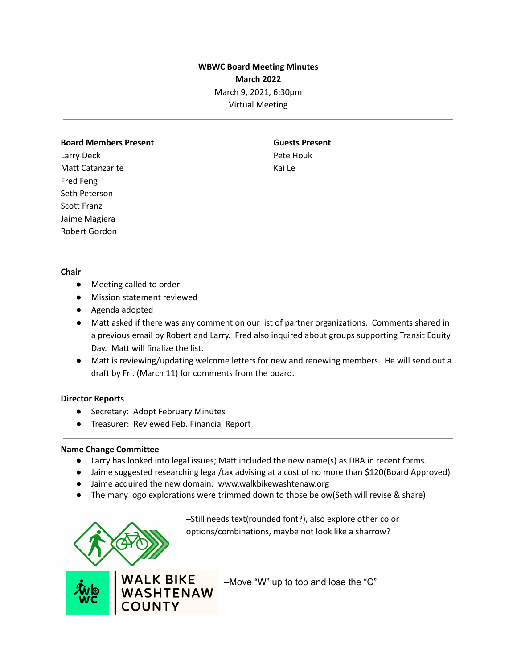#### **Board Members Present**

Larry Deck Matt Catanzarite Fred Feng Seth Peterson Scott Franz Jaime Magiera Robert Gordon

**Guests Present** Pete Houk Kai Le

### **Chair**

- Meeting called to order
- Mission statement reviewed
- Agenda adopted
- Matt asked if there was any comment on our list of partner organizations. Comments shared in a previous email by Robert and Larry. Fred also inquired about groups supporting Transit Equity Day. Matt will finalize the list.
- Matt is reviewing/updating welcome letters for new and renewing members. He will send out a draft by Fri. (March 11) for comments from the board.

### **Director Reports**

- Secretary: Adopt February Minutes
- Treasurer: Reviewed Feb. Financial Report

### **Name Change Committee**

- Larry has looked into legal issues; Matt included the new name(s) as DBA in recent forms.
- Jaime suggested researching legal/tax advising at a cost of no more than \$120(Board Approved)
- Jaime acquired the new domain: www.walkbikewashtenaw.org
- The many logo explorations were trimmed down to those below(Seth will revise & share):



–Still needs text(rounded font?), also explore other color options/combinations, maybe not look like a sharrow?



–Move "W" up to top and lose the "C"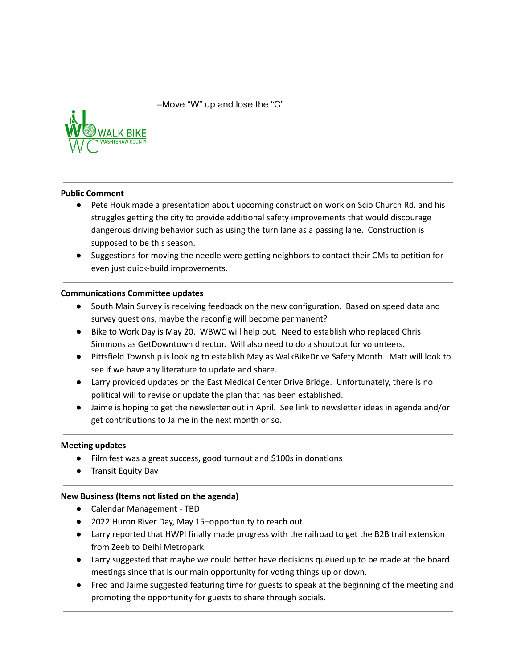–Move "W" up and lose the "C"



### **Public Comment**

- Pete Houk made a presentation about upcoming construction work on Scio Church Rd. and his struggles getting the city to provide additional safety improvements that would discourage dangerous driving behavior such as using the turn lane as a passing lane. Construction is supposed to be this season.
- Suggestions for moving the needle were getting neighbors to contact their CMs to petition for even just quick-build improvements.

### **Communications Committee updates**

- South Main Survey is receiving feedback on the new configuration. Based on speed data and survey questions, maybe the reconfig will become permanent?
- Bike to Work Day is May 20. WBWC will help out. Need to establish who replaced Chris Simmons as GetDowntown director. Will also need to do a shoutout for volunteers.
- Pittsfield Township is looking to establish May as WalkBikeDrive Safety Month. Matt will look to see if we have any literature to update and share.
- Larry provided updates on the East Medical Center Drive Bridge. Unfortunately, there is no political will to revise or update the plan that has been established.
- Jaime is hoping to get the newsletter out in April. See link to newsletter ideas in agenda and/or get contributions to Jaime in the next month or so.

## **Meeting updates**

- Film fest was a great success, good turnout and \$100s in donations
- Transit Equity Day

### **New Business (Items not listed on the agenda)**

- Calendar Management TBD
- 2022 Huron River Day, May 15-opportunity to reach out.
- Larry reported that HWPI finally made progress with the railroad to get the B2B trail extension from Zeeb to Delhi Metropark.
- Larry suggested that maybe we could better have decisions queued up to be made at the board meetings since that is our main opportunity for voting things up or down.
- Fred and Jaime suggested featuring time for guests to speak at the beginning of the meeting and promoting the opportunity for guests to share through socials.